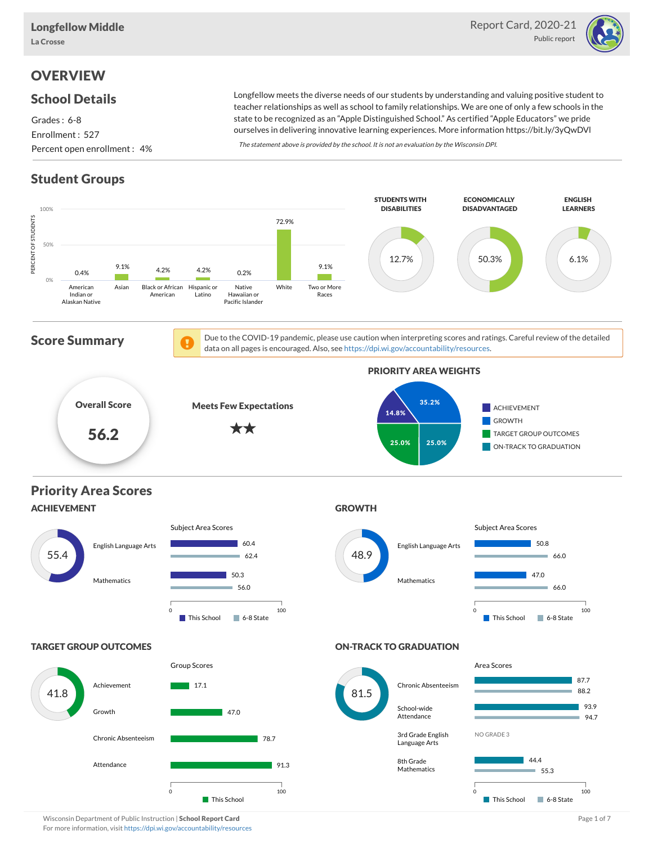

# **OVERVIEW**

#### School Details

Grades : 6-8 Enrollment : 527 Percent open enrollment : 4%

Longfellow meets the diverse needs of our students by understanding and valuing positive student to teacher relationships as well as school to family relationships. We are one of only a few schools in the state to be recognized as an "Apple Distinguished School." As certified "Apple Educators" we pride ourselves in delivering innovative learning experiences. More information https://bit.ly/3yQwDVl

The statement above is provided by the school. It is not an evaluation by the Wisconsin DPI.

# Student Groups

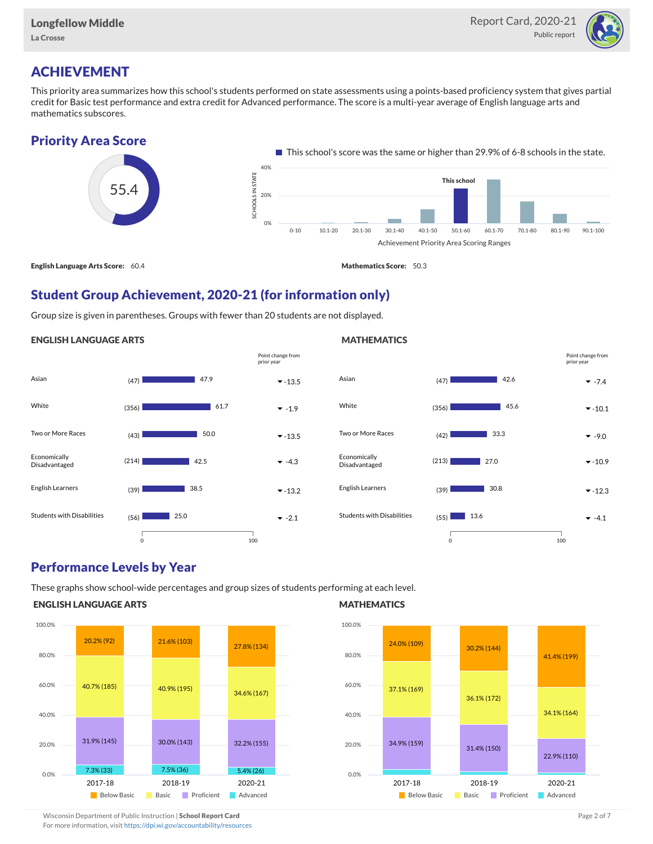

### ACHIEVEMENT

This priority area summarizes how this school's students performed on state assessments using a points-based proficiency system that gives partial credit for Basic test performance and extra credit for Advanced performance. The score is a multi-year average of English language arts and mathematics subscores.

#### Priority Area Score



### Student Group Achievement, 2020-21 (for information only)

Group size is given in parentheses. Groups with fewer than 20 students are not displayed.

#### ENGLISH LANGUAGE ARTS





#### Performance Levels by Year

These graphs show school-wide percentages and group sizes of students performing at each level.

#### ENGLISH LANGUAGE ARTS



#### **MATHEMATICS**



### Wisconsin Department of Public Instruction | School Report Card Page 2 of 7 and 2008 and 2009 and 2 of 7 and 2 of 7

For more information, visit <https://dpi.wi.gov/accountability/resources>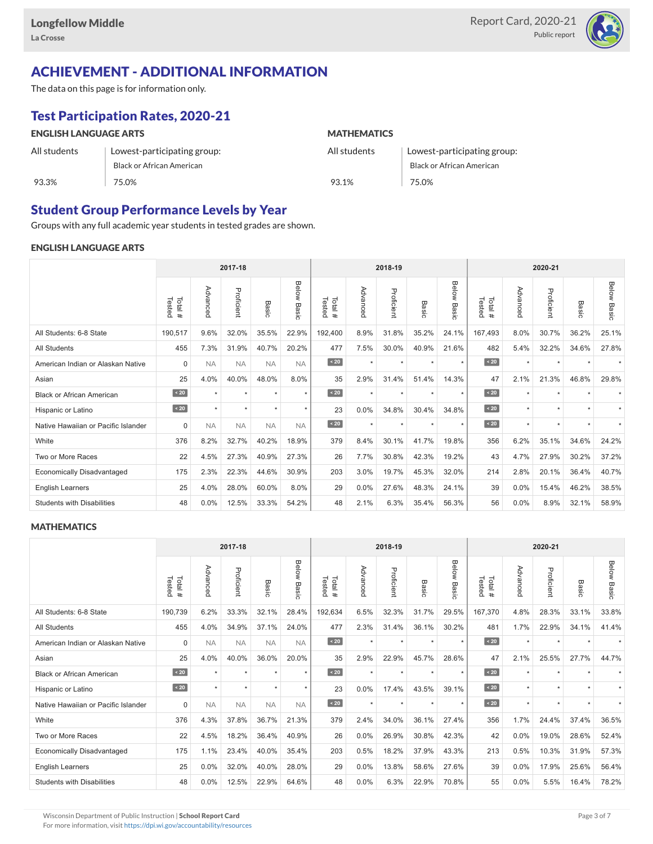

# ACHIEVEMENT - ADDITIONAL INFORMATION

The data on this page is for information only.

# Test Participation Rates, 2020-21

| <b>ENGLISH LANGUAGE ARTS</b> |                             | <b>MATHEMATICS</b> |                                  |  |  |  |  |
|------------------------------|-----------------------------|--------------------|----------------------------------|--|--|--|--|
| All students                 | Lowest-participating group: | All students       | Lowest-participating group:      |  |  |  |  |
|                              | Black or African American   |                    | <b>Black or African American</b> |  |  |  |  |
| 93.3%                        | 75.0%                       | 93.1%              | 75.0%                            |  |  |  |  |

## Student Group Performance Levels by Year

Groups with any full academic year students in tested grades are shown.

#### ENGLISH LANGUAGE ARTS

|                                     | 2017-18          |           |            |           |                |                  |          | 2018-19    |                  |                | 2020-21          |          |            |                          |                    |
|-------------------------------------|------------------|-----------|------------|-----------|----------------|------------------|----------|------------|------------------|----------------|------------------|----------|------------|--------------------------|--------------------|
|                                     | Total#<br>Tested | Advanced  | Proficient | Basic     | Below<br>Basic | Tested<br>Total# | Advancec | Proficient | Basi<br>$\Omega$ | Below<br>Basic | Tested<br>Total# | Advancec | Proficient | Basic                    | <b>Below Basic</b> |
| All Students: 6-8 State             | 190,517          | 9.6%      | 32.0%      | 35.5%     | 22.9%          | 192,400          | 8.9%     | 31.8%      | 35.2%            | 24.1%          | 167,493          | 8.0%     | 30.7%      | 36.2%                    | 25.1%              |
| <b>All Students</b>                 | 455              | 7.3%      | 31.9%      | 40.7%     | 20.2%          | 477              | 7.5%     | 30.0%      | 40.9%            | 21.6%          | 482              | 5.4%     | 32.2%      | 34.6%                    | 27.8%              |
| American Indian or Alaskan Native   | $\Omega$         | <b>NA</b> | <b>NA</b>  | <b>NA</b> | <b>NA</b>      | $\angle 20$      | $\star$  | $\star$    | $\star$          | $\star$        | $\sim 20$        | $\star$  | $\star$    | $\overline{\phantom{a}}$ |                    |
| Asian                               | 25               | 4.0%      | 40.0%      | 48.0%     | 8.0%           | 35               | 2.9%     | 31.4%      | 51.4%            | 14.3%          | 47               | 2.1%     | 21.3%      | 46.8%                    | 29.8%              |
| <b>Black or African American</b>    | $\angle 20$      | $\star$   | $\star$    | $\star$   | $\star$        | $\sim 20$        | $\star$  | $\star$    | $\star$          | $\star$        | $\sim 20$        | $\star$  | $\star$    |                          |                    |
| Hispanic or Latino                  | $\sim 20$        | $\star$   | $\star$    | ٠         | $\star$        | 23               | 0.0%     | 34.8%      | 30.4%            | 34.8%          | $\angle 20$      | $\star$  | $\star$    |                          |                    |
| Native Hawaiian or Pacific Islander | $\Omega$         | <b>NA</b> | <b>NA</b>  | <b>NA</b> | <b>NA</b>      | $\sim 20$        | $\star$  | $\star$    | $\ddot{}$        | $\star$        | $\sim 20$        | $\star$  | $\bullet$  | $\star$                  |                    |
| White                               | 376              | 8.2%      | 32.7%      | 40.2%     | 18.9%          | 379              | 8.4%     | 30.1%      | 41.7%            | 19.8%          | 356              | 6.2%     | 35.1%      | 34.6%                    | 24.2%              |
| Two or More Races                   | 22               | 4.5%      | 27.3%      | 40.9%     | 27.3%          | 26               | 7.7%     | 30.8%      | 42.3%            | 19.2%          | 43               | 4.7%     | 27.9%      | 30.2%                    | 37.2%              |
| <b>Economically Disadvantaged</b>   | 175              | 2.3%      | 22.3%      | 44.6%     | 30.9%          | 203              | 3.0%     | 19.7%      | 45.3%            | 32.0%          | 214              | 2.8%     | 20.1%      | 36.4%                    | 40.7%              |
| <b>English Learners</b>             | 25               | 4.0%      | 28.0%      | 60.0%     | 8.0%           | 29               | 0.0%     | 27.6%      | 48.3%            | 24.1%          | 39               | 0.0%     | 15.4%      | 46.2%                    | 38.5%              |
| <b>Students with Disabilities</b>   | 48               | 0.0%      | 12.5%      | 33.3%     | 54.2%          | 48               | 2.1%     | 6.3%       | 35.4%            | 56.3%          | 56               | 0.0%     | 8.9%       | 32.1%                    | 58.9%              |

#### **MATHEMATICS**

|                                     |                   |           |            | 2018-19   |                |                   | 2020-21  |            |         |                |                   |          |            |                      |                    |
|-------------------------------------|-------------------|-----------|------------|-----------|----------------|-------------------|----------|------------|---------|----------------|-------------------|----------|------------|----------------------|--------------------|
|                                     | Tested<br>Total # | Advanced  | Proficient | Basic     | Below<br>Basic | Total #<br>Tested | Advanced | Proficient | Basic   | Below<br>Basic | Tested<br>Total # | Advanced | Proficient | Basic                | <b>Below Basic</b> |
| All Students: 6-8 State             | 190,739           | 6.2%      | 33.3%      | 32.1%     | 28.4%          | 192,634           | 6.5%     | 32.3%      | 31.7%   | 29.5%          | 167,370           | 4.8%     | 28.3%      | 33.1%                | 33.8%              |
| <b>All Students</b>                 | 455               | 4.0%      | 34.9%      | 37.1%     | 24.0%          | 477               | 2.3%     | 31.4%      | 36.1%   | 30.2%          | 481               | 1.7%     | 22.9%      | 34.1%                | 41.4%              |
| American Indian or Alaskan Native   | $\mathbf 0$       | <b>NA</b> | <b>NA</b>  | <b>NA</b> | <b>NA</b>      | $\sim 20$         | $\star$  | $\star$    | $\star$ | $\star$        | $\sim 20$         | $\star$  | $\star$    |                      |                    |
| Asian                               | 25                | 4.0%      | 40.0%      | 36.0%     | 20.0%          | 35                | 2.9%     | 22.9%      | 45.7%   | 28.6%          | 47                | 2.1%     | 25.5%      | 27.7%                | 44.7%              |
| <b>Black or African American</b>    | $\angle 20$       | $\star$   | ÷          |           | $\star$        | $\angle 20$       | $\star$  | $\star$    | $\star$ | $\star$        | $\sim 20$         | $\star$  | $\star$    |                      |                    |
| Hispanic or Latino                  | $\angle 20$       | $\star$   | $\star$    | $\star$   | $\star$        | 23                | 0.0%     | 17.4%      | 43.5%   | 39.1%          | $\sim 20$         | $\star$  | $\star$    | $\ddot{}$            |                    |
| Native Hawaiian or Pacific Islander | $\Omega$          | <b>NA</b> | <b>NA</b>  | <b>NA</b> | <b>NA</b>      | $\sim 20$         | $\star$  | $\star$    | $\star$ | $\star$        | $\sim 20$         | $\star$  | $\star$    | $\ddot{\phantom{1}}$ |                    |
| White                               | 376               | 4.3%      | 37.8%      | 36.7%     | 21.3%          | 379               | 2.4%     | 34.0%      | 36.1%   | 27.4%          | 356               | 1.7%     | 24.4%      | 37.4%                | 36.5%              |
| Two or More Races                   | 22                | 4.5%      | 18.2%      | 36.4%     | 40.9%          | 26                | 0.0%     | 26.9%      | 30.8%   | 42.3%          | 42                | 0.0%     | 19.0%      | 28.6%                | 52.4%              |
| <b>Economically Disadvantaged</b>   | 175               | 1.1%      | 23.4%      | 40.0%     | 35.4%          | 203               | 0.5%     | 18.2%      | 37.9%   | 43.3%          | 213               | 0.5%     | 10.3%      | 31.9%                | 57.3%              |
| English Learners                    | 25                | 0.0%      | 32.0%      | 40.0%     | 28.0%          | 29                | 0.0%     | 13.8%      | 58.6%   | 27.6%          | 39                | 0.0%     | 17.9%      | 25.6%                | 56.4%              |
| <b>Students with Disabilities</b>   | 48                | 0.0%      | 12.5%      | 22.9%     | 64.6%          | 48                | 0.0%     | 6.3%       | 22.9%   | 70.8%          | 55                | $0.0\%$  | 5.5%       | 16.4%                | 78.2%              |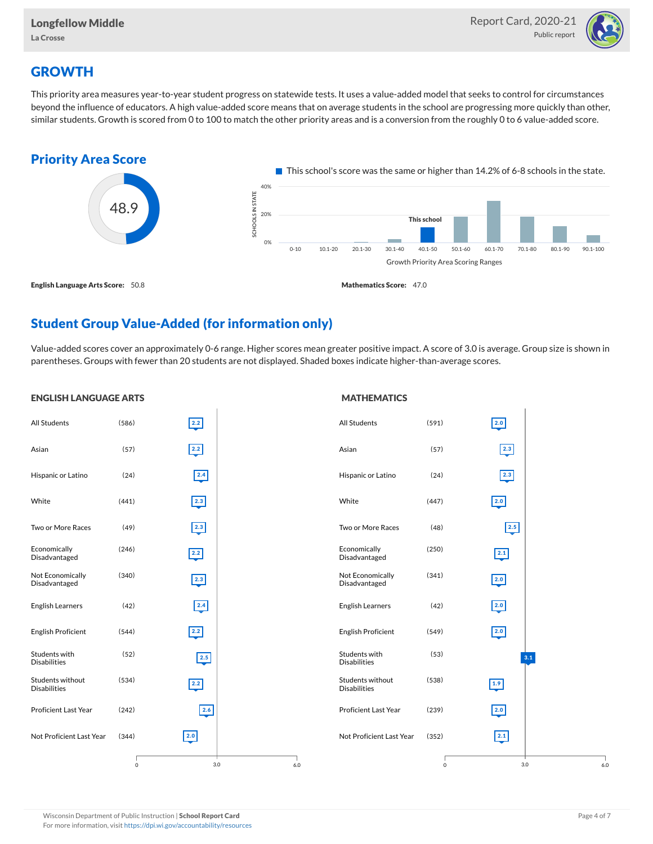

# **GROWTH**

This priority area measures year-to-year student progress on statewide tests. It uses a value-added model that seeks to control for circumstances beyond the influence of educators. A high value-added score means that on average students in the school are progressing more quickly than other, similar students. Growth is scored from 0 to 100 to match the other priority areas and is a conversion from the roughly 0 to 6 value-added score.



## Student Group Value-Added (for information only)

Value-added scores cover an approximately 0-6 range. Higher scores mean greater positive impact. A score of 3.0 is average. Group size is shown in parentheses. Groups with fewer than 20 students are not displayed. Shaded boxes indicate higher-than-average scores.

| <b>ENGLISH LANGUAGE ARTS</b>            |                     |                                           |     | <b>MATHEMATICS</b>                      |             |                  |
|-----------------------------------------|---------------------|-------------------------------------------|-----|-----------------------------------------|-------------|------------------|
| All Students                            | (586)               | $\begin{array}{c} \hline 2.2 \end{array}$ |     | <b>All Students</b>                     | (591)       | 2.0              |
| Asian                                   | (57)                | $\overline{2.2}$                          |     | Asian                                   | (57)        | $\boxed{2.3}$    |
| Hispanic or Latino                      | (24)                | 2.4                                       |     | Hispanic or Latino                      | (24)        | 2.3              |
| White                                   | (441)               | $\overline{2.3}$                          |     | White                                   | (447)       | $\overline{2.0}$ |
| Two or More Races                       | (49)                | $\boxed{2.3}$                             |     | Two or More Races                       | (48)        | 2.5              |
| Economically<br>Disadvantaged           | (246)               | $\overline{2.2}$                          |     | Economically<br>Disadvantaged           | (250)       | $\boxed{2.1}$    |
| Not Economically<br>Disadvantaged       | (340)               | $\boxed{2.3}$                             |     | Not Economically<br>Disadvantaged       | (341)       | 2.0              |
| <b>English Learners</b>                 | (42)                | 2.4                                       |     | <b>English Learners</b>                 | (42)        | 2.0              |
| <b>English Proficient</b>               | (544)               | 2.2                                       |     | <b>English Proficient</b>               | (549)       | 2.0              |
| Students with<br><b>Disabilities</b>    | (52)                | 2.5                                       |     | Students with<br><b>Disabilities</b>    | (53)        | 3.1              |
| Students without<br><b>Disabilities</b> | (534)               | $\overline{2.2}$                          |     | Students without<br><b>Disabilities</b> | (538)       | $\overline{1.9}$ |
| <b>Proficient Last Year</b>             | (242)               | 2.6                                       |     | Proficient Last Year                    | (239)       | 2.0              |
| Not Proficient Last Year                | (344)               | $\overline{2.0}$                          |     | Not Proficient Last Year                | (352)       | 2.1              |
|                                         | $\mathsf{O}\xspace$ | $3.0\,$                                   | 6.0 |                                         | $\mathsf 0$ | 3.0<br>6.0       |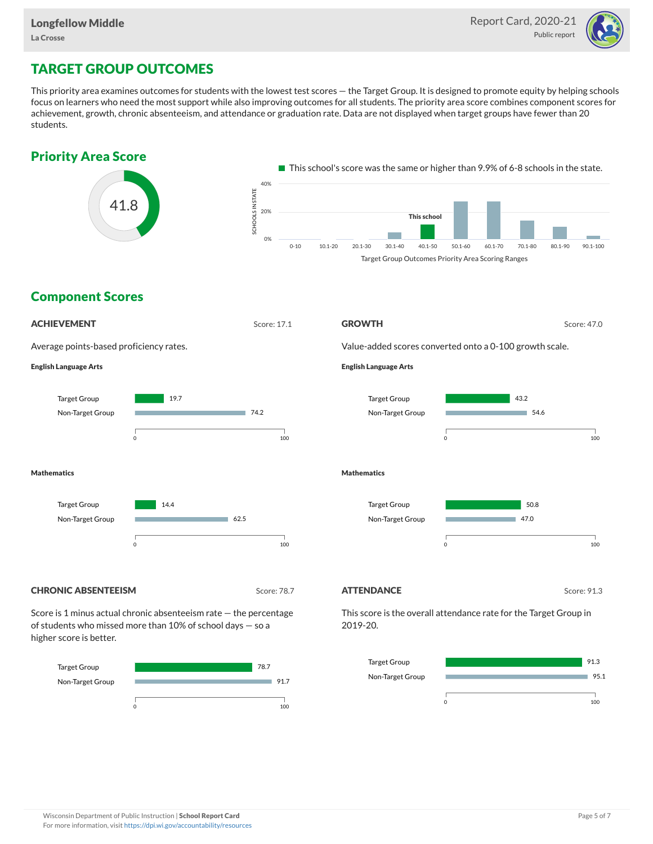

# TARGET GROUP OUTCOMES

This priority area examines outcomes for students with the lowest test scores — the Target Group. It is designed to promote equity by helping schools focus on learners who need the most support while also improving outcomes for all students. The priority area score combines component scores for achievement, growth, chronic absenteeism, and attendance or graduation rate. Data are not displayed when target groups have fewer than 20 students.





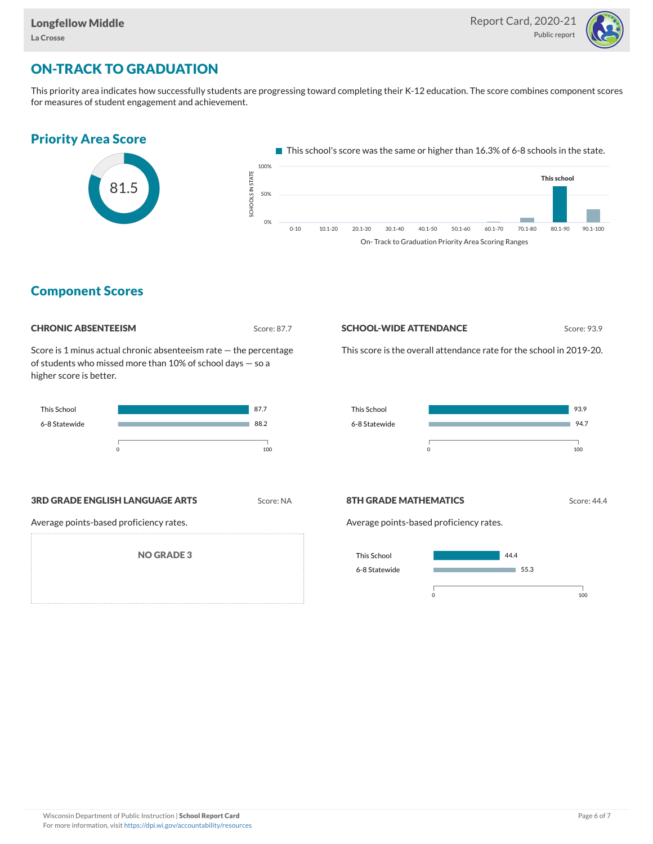

# ON-TRACK TO GRADUATION

This priority area indicates how successfully students are progressing toward completing their K-12 education. The score combines component scores for measures of student engagement and achievement.



#### Component Scores